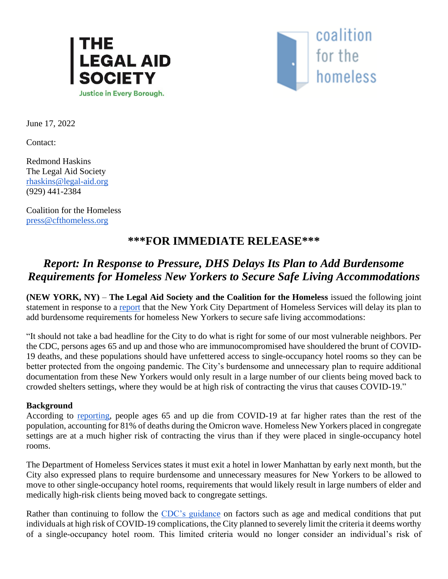



June 17, 2022

Contact:

Redmond Haskins The Legal Aid Society [rhaskins@legal-aid.org](mailto:rhaskins@legal-aid.org) (929) 441-2384

Coalition for the Homeless [press@cfthomeless.org](mailto:press@cfthomeless.org)

## **\*\*\*FOR IMMEDIATE RELEASE\*\*\***

## *Report: In Response to Pressure, DHS Delays Its Plan to Add Burdensome Requirements for Homeless New Yorkers to Secure Safe Living Accommodations*

**(NEW YORK, NY)** – **The Legal Aid Society and the Coalition for the Homeless** issued the following joint statement in response to a [report](https://citylimits.org/2022/06/17/homeless-hotel-residents-brace-for-next-move-as-nyc-weighs-changes-to-covid-protections/) that the New York City Department of Homeless Services will delay its plan to add burdensome requirements for homeless New Yorkers to secure safe living accommodations:

"It should not take a bad headline for the City to do what is right for some of our most vulnerable neighbors. Per the CDC, persons ages 65 and up and those who are immunocompromised have shouldered the brunt of COVID-19 deaths, and these populations should have unfettered access to single-occupancy hotel rooms so they can be better protected from the ongoing pandemic. The City's burdensome and unnecessary plan to require additional documentation from these New Yorkers would only result in a large number of our clients being moved back to crowded shelters settings, where they would be at high risk of contracting the virus that causes COVID-19."

## **Background**

According to [reporting,](https://www.nytimes.com/2022/05/31/health/omicron-deaths-age-65-elderly.html) people ages 65 and up die from COVID-19 at far higher rates than the rest of the population, accounting for 81% of deaths during the Omicron wave. Homeless New Yorkers placed in congregate settings are at a much higher risk of contracting the virus than if they were placed in single-occupancy hotel rooms.

The Department of Homeless Services states it must exit a hotel in lower Manhattan by early next month, but the City also expressed plans to require burdensome and unnecessary measures for New Yorkers to be allowed to move to other single-occupancy hotel rooms, requirements that would likely result in large numbers of elder and medically high-risk clients being moved back to congregate settings.

Rather than continuing to follow the [CDC's guidance](https://www.cdc.gov/coronavirus/2019-ncov/need-extra-precautions/people-with-medical-conditions.html) on factors such as age and medical conditions that put individuals at high risk of COVID-19 complications, the City planned to severely limit the criteria it deems worthy of a single-occupancy hotel room. This limited criteria would no longer consider an individual's risk of